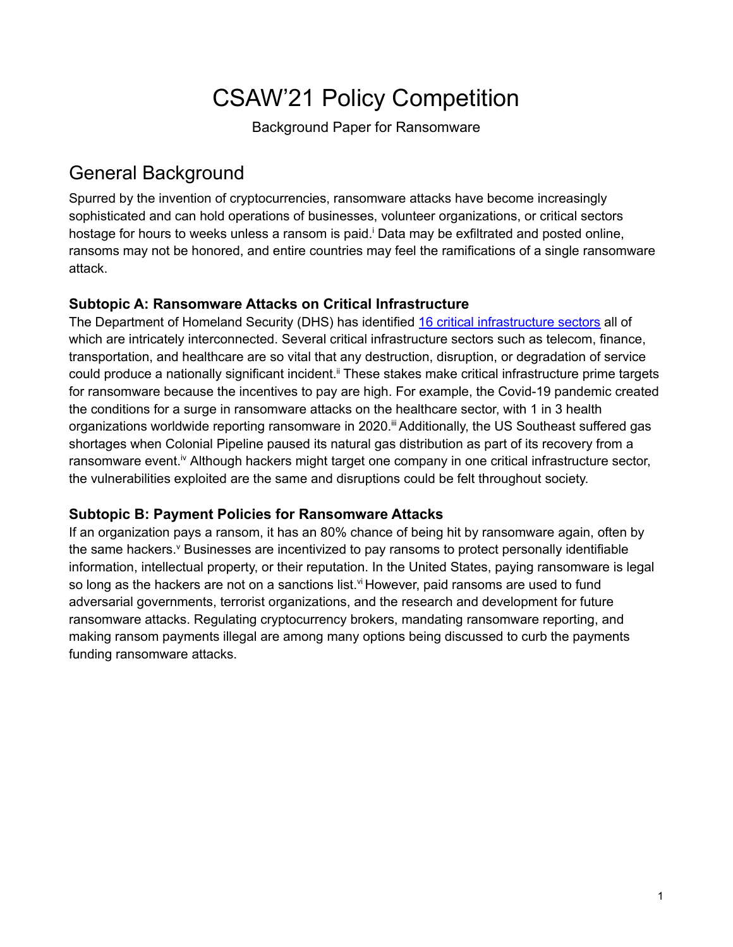# CSAW'21 Policy Competition

Background Paper for Ransomware

# General Background

Spurred by the invention of cryptocurrencies, ransomware attacks have become increasingly sophisticated and can hold operations of businesses, volunteer organizations, or critical sectors hostage for hours to weeks unless a ransom is paid.<sup>†</sup> Data may be exfiltrated and posted online, ransoms may not be honored, and entire countries may feel the ramifications of a single ransomware attack.

#### **Subtopic A: Ransomware Attacks on Critical Infrastructure**

The Department of Homeland Security (DHS) has identified 16 critical [infrastructure](https://www.cisa.gov/critical-infrastructure-sectors) sectors all of which are intricately interconnected. Several critical infrastructure sectors such as telecom, finance, transportation, and healthcare are so vital that any destruction, disruption, or degradation of service could produce a nationally significant incident.<sup>ii</sup> These stakes make critical infrastructure prime targets for ransomware because the incentives to pay are high. For example, the Covid-19 pandemic created the conditions for a surge in ransomware attacks on the healthcare sector, with 1 in 3 health organizations worldwide reporting ransomware in 2020.<sup>iii</sup> Additionally, the US Southeast suffered gas shortages when Colonial Pipeline paused its natural gas distribution as part of its recovery from a ransomware event.<sup>iv</sup> Although hackers might target one company in one critical infrastructure sector, the vulnerabilities exploited are the same and disruptions could be felt throughout society.

#### **Subtopic B: Payment Policies for Ransomware Attacks**

If an organization pays a ransom, it has an 80% chance of being hit by ransomware again, often by the same hackers.<sup>v</sup> Businesses are incentivized to pay ransoms to protect personally identifiable information, intellectual property, or their reputation. In the United States, paying ransomware is legal so long as the hackers are not on a sanctions list.<sup>vi</sup> However, paid ransoms are used to fund adversarial governments, terrorist organizations, and the research and development for future ransomware attacks. Regulating cryptocurrency brokers, mandating ransomware reporting, and making ransom payments illegal are among many options being discussed to curb the payments funding ransomware attacks.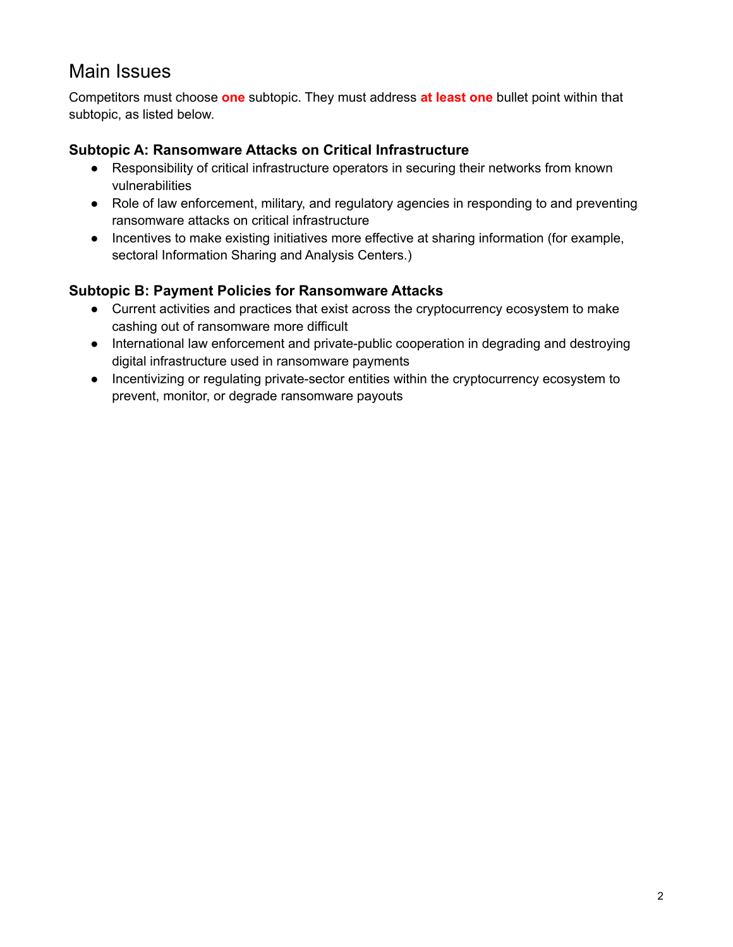### Main Issues

Competitors must choose **one** subtopic. They must address **at least one** bullet point within that subtopic, as listed below.

#### **Subtopic A: Ransomware Attacks on Critical Infrastructure**

- Responsibility of critical infrastructure operators in securing their networks from known vulnerabilities
- Role of law enforcement, military, and regulatory agencies in responding to and preventing ransomware attacks on critical infrastructure
- Incentives to make existing initiatives more effective at sharing information (for example, sectoral Information Sharing and Analysis Centers.)

#### **Subtopic B: Payment Policies for Ransomware Attacks**

- Current activities and practices that exist across the cryptocurrency ecosystem to make cashing out of ransomware more difficult
- International law enforcement and private-public cooperation in degrading and destroying digital infrastructure used in ransomware payments
- Incentivizing or regulating private-sector entities within the cryptocurrency ecosystem to prevent, monitor, or degrade ransomware payouts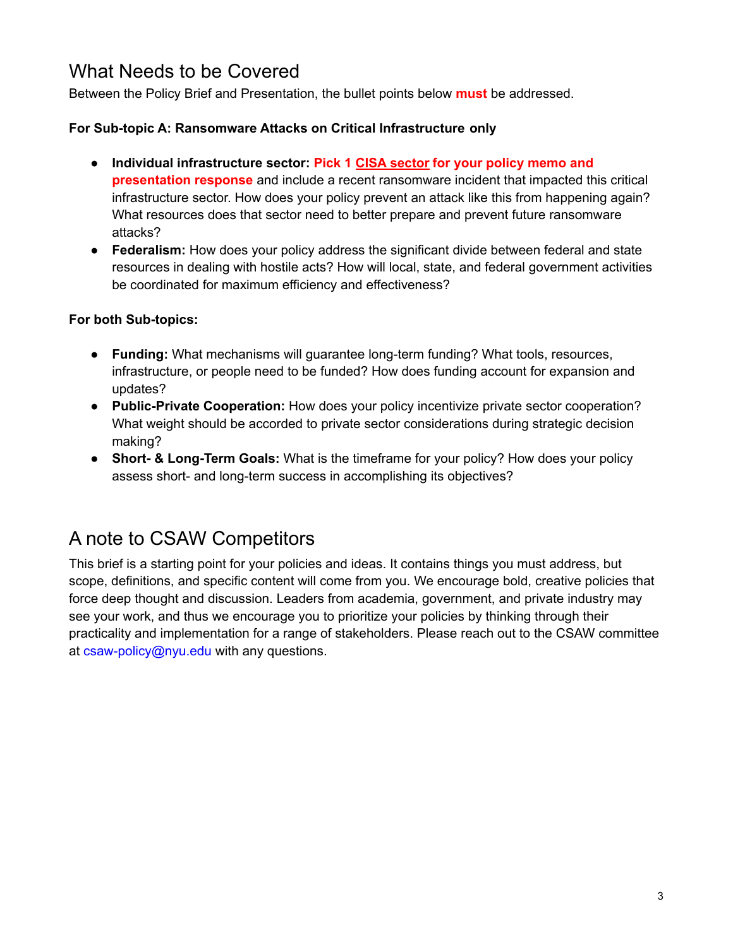### What Needs to be Covered

Between the Policy Brief and Presentation, the bullet points below **must** be addressed.

#### **For Sub-topic A: Ransomware Attacks on Critical Infrastructure only**

- **Individual infrastructure sector: Pick 1 CISA [sector](https://www.cisa.gov/critical-infrastructure-sectors) for your policy memo and presentation response** and include a recent ransomware incident that impacted this critical infrastructure sector. How does your policy prevent an attack like this from happening again? What resources does that sector need to better prepare and prevent future ransomware attacks?
- **Federalism:** How does your policy address the significant divide between federal and state resources in dealing with hostile acts? How will local, state, and federal government activities be coordinated for maximum efficiency and effectiveness?

#### **For both Sub-topics:**

- **Funding:** What mechanisms will guarantee long-term funding? What tools, resources, infrastructure, or people need to be funded? How does funding account for expansion and updates?
- **Public-Private Cooperation:** How does your policy incentivize private sector cooperation? What weight should be accorded to private sector considerations during strategic decision making?
- **Short- & Long-Term Goals:** What is the timeframe for your policy? How does your policy assess short- and long-term success in accomplishing its objectives?

# A note to CSAW Competitors

This brief is a starting point for your policies and ideas. It contains things you must address, but scope, definitions, and specific content will come from you. We encourage bold, creative policies that force deep thought and discussion. Leaders from academia, government, and private industry may see your work, and thus we encourage you to prioritize your policies by thinking through their practicality and implementation for a range of stakeholders. Please reach out to the CSAW committee at csaw-policy@nyu.edu with any questions.